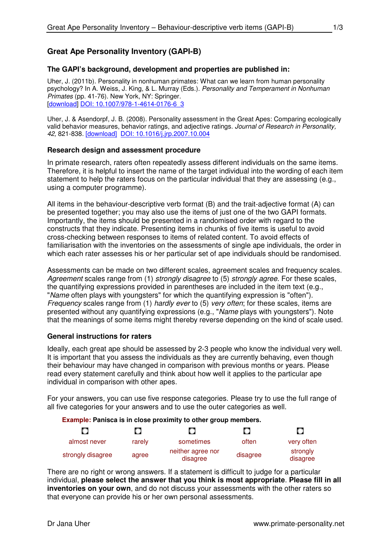# **Great Ape Personality Inventory (GAPI-B)**

# **The GAPI's background, development and properties are published in:**

Uher, J. (2011b). Personality in nonhuman primates: What can we learn from human personality psychology? In A. Weiss, J. King, & L. Murray (Eds.). Personality and Temperament in Nonhuman Primates (pp. 41-76). New York, NY: Springer. [download] DOI: 10.1007/978-1-4614-0176-6\_3

Uher, J. & Asendorpf, J. B. (2008). Personality assessment in the Great Apes: Comparing ecologically valid behavior measures, behavior ratings, and adjective ratings. Journal of Research in Personality, 42, 821-838. [download] DOI: 10.1016/j.jrp.2007.10.004

### **Research design and assessment procedure**

In primate research, raters often repeatedly assess different individuals on the same items. Therefore, it is helpful to insert the name of the target individual into the wording of each item statement to help the raters focus on the particular individual that they are assessing (e.g., using a computer programme).

All items in the behaviour-descriptive verb format (B) and the trait-adjective format (A) can be presented together; you may also use the items of just one of the two GAPI formats. Importantly, the items should be presented in a randomised order with regard to the constructs that they indicate. Presenting items in chunks of five items is useful to avoid cross-checking between responses to items of related content. To avoid effects of familiarisation with the inventories on the assessments of single ape individuals, the order in which each rater assesses his or her particular set of ape individuals should be randomised.

Assessments can be made on two different scales, agreement scales and frequency scales. Agreement scales range from (1) strongly disagree to (5) strongly agree. For these scales, the quantifying expressions provided in parentheses are included in the item text (e.g., "Name often plays with youngsters" for which the quantifying expression is "often"). Frequency scales range from (1) hardly ever to (5) very often; for these scales, items are presented without any quantifying expressions (e.g., "Name plays with youngsters"). Note that the meanings of some items might thereby reverse depending on the kind of scale used.

### **General instructions for raters**

Ideally, each great ape should be assessed by 2-3 people who know the individual very well. It is important that you assess the individuals as they are currently behaving, even though their behaviour may have changed in comparison with previous months or years. Please read every statement carefully and think about how well it applies to the particular ape individual in comparison with other apes.

For your answers, you can use five response categories. Please try to use the full range of all five categories for your answers and to use the outer categories as well.

### **Example: Panisca is in close proximity to other group members.**

| О                 |        |                               |          | O                    |
|-------------------|--------|-------------------------------|----------|----------------------|
| almost never      | rarely | sometimes                     | often    | very often           |
| strongly disagree | agree  | neither agree nor<br>disagree | disagree | strongly<br>disagree |

There are no right or wrong answers. If a statement is difficult to judge for a particular individual, **please select the answer that you think is most appropriate**. **Please fill in all inventories on your own**, and do not discuss your assessments with the other raters so that everyone can provide his or her own personal assessments.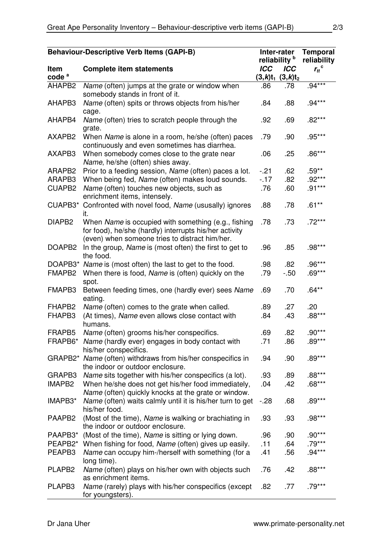| <b>Behaviour-Descriptive Verb Items (GAPI-B)</b> |                                                                                                                                                                 | Inter-rater              |            | <b>Temporal</b>       |
|--------------------------------------------------|-----------------------------------------------------------------------------------------------------------------------------------------------------------------|--------------------------|------------|-----------------------|
|                                                  |                                                                                                                                                                 | reliability <sup>b</sup> |            | reliability           |
| Item                                             | <b>Complete item statements</b>                                                                                                                                 | <b>ICC</b>               | <b>ICC</b> | $r_{tt}$ <sup>c</sup> |
| code <sup>a</sup>                                |                                                                                                                                                                 | $(3,k)t_1$               | $(3,k)t_2$ |                       |
| AHAPB2                                           | Name (often) jumps at the grate or window when<br>somebody stands in front of it.                                                                               | .86                      | .78        | $.94***$              |
| AHAPB3                                           | Name (often) spits or throws objects from his/her<br>cage.                                                                                                      | .84                      | .88        | $.94***$              |
| AHAPB4                                           | Name (often) tries to scratch people through the<br>grate.                                                                                                      | .92                      | .69        | $.82***$              |
| AXAPB2                                           | When Name is alone in a room, he/she (often) paces<br>continuously and even sometimes has diarrhea.                                                             | .79                      | .90        | $.95***$              |
| AXAPB3                                           | When somebody comes close to the grate near<br>Name, he/she (often) shies away.                                                                                 | .06                      | .25        | $.86***$              |
| ARAPB2                                           | Prior to a feeding session, Name (often) paces a lot.                                                                                                           | $-21$                    | .62        | $.59**$               |
| ARAPB3                                           | When being fed, Name (often) makes loud sounds.                                                                                                                 | $-17$                    | .82        | $.92***$              |
| <b>CUAPB2</b>                                    | Name (often) touches new objects, such as<br>enrichment items, intensely.                                                                                       | .76                      | .60        | $.91***$              |
| CUAPB3*                                          | Confronted with novel food, Name (ususally) ignores<br>it.                                                                                                      | .88                      | .78        | $.61***$              |
| DIAPB <sub>2</sub>                               | When Name is occupied with something (e.g., fishing<br>for food), he/she (hardly) interrupts his/her activity<br>(even) when someone tries to distract him/her. | .78                      | .73        | $.72***$              |
| DOAPB <sub>2</sub>                               | In the group, Name is (most often) the first to get to<br>the food.                                                                                             | .96                      | .85        | $.98***$              |
| DOAPB3*                                          | Name is (most often) the last to get to the food.                                                                                                               | .98                      | .82        | $.96***$              |
| FMAPB2                                           | When there is food, Name is (often) quickly on the<br>spot.                                                                                                     | .79                      | $-0.50$    | $.69***$              |
| FMAPB3                                           | Between feeding times, one (hardly ever) sees Name<br>eating.                                                                                                   | .69                      | .70        | $.64***$              |
| FHAPB <sub>2</sub>                               | Name (often) comes to the grate when called.                                                                                                                    | .89                      | .27        | .20                   |
| FHAPB3                                           | (At times), Name even allows close contact with<br>humans.                                                                                                      | .84                      | .43        | $.88***$              |
| FRAPB5                                           | Name (often) grooms his/her conspecifics.                                                                                                                       | .69                      | .82        | $.90***$              |
|                                                  | FRAPB6* Name (hardly ever) engages in body contact with<br>his/her conspecifics.                                                                                | .71                      | .86        | $.89***$              |
| GRAPB2*                                          | Name (often) withdraws from his/her conspecifics in<br>the indoor or outdoor enclosure.                                                                         | .94                      | .90        | $.89***$              |
| GRAPB3                                           | Name sits together with his/her conspecifics (a lot).                                                                                                           | .93                      | .89        | $.88***$              |
| IMAPB <sub>2</sub>                               | When he/she does not get his/her food immediately,<br>Name (often) quickly knocks at the grate or window.                                                       | .04                      | .42        | $.68***$              |
| IMAPB3*                                          | Name (often) waits calmly until it is his/her turn to get<br>his/her food.                                                                                      | $-28$                    | .68        | $.89***$              |
| PAAPB <sub>2</sub>                               | (Most of the time), Name is walking or brachiating in<br>the indoor or outdoor enclosure.                                                                       | .93                      | .93        | .98***                |
| PAAPB3*                                          | (Most of the time), Name is sitting or lying down.                                                                                                              | .96                      | .90        | $.90***$              |
| PEAPB <sub>2</sub> *                             | When fishing for food, Name (often) gives up easily.                                                                                                            | .11                      | .64        | $.79***$              |
| PEAPB3                                           | Name can occupy him-/herself with something (for a<br>long time).                                                                                               | .41                      | .56        | $.94***$              |
| PLAPB <sub>2</sub>                               | Name (often) plays on his/her own with objects such<br>as enrichment items.                                                                                     | .76                      | .42        | $.88***$              |
| PLAPB3                                           | Name (rarely) plays with his/her conspecifics (except<br>for youngsters).                                                                                       | .82                      | .77        | $.79***$              |